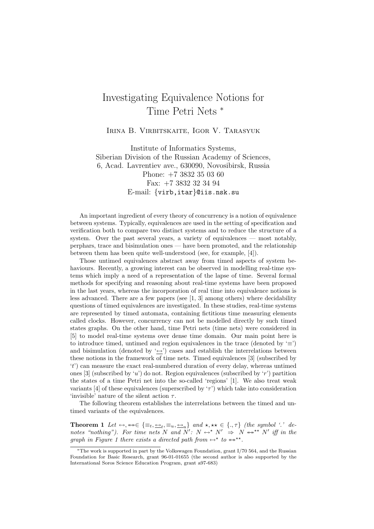## Investigating Equivalence Notions for Time Petri Nets <sup>∗</sup>

Irina B. Virbitskaite, Igor V. Tarasyuk

Institute of Informatics Systems, Siberian Division of the Russian Academy of Sciences, 6, Acad. Lavrentiev ave., 630090, Novosibirsk, Russia Phone: +7 3832 35 03 60 Fax: +7 3832 32 34 94 E-mail: {virb,itar}@iis.nsk.su

An important ingredient of every theory of concurrency is a notion of equivalence between systems. Typically, equivalences are used in the setting of specification and verification both to compare two distinct systems and to reduce the structure of a system. Over the past several years, a variety of equivalences — most notably, perphars, trace and bisimulation ones — have been promoted, and the relationship between them has been quite well-understood (see, for example, [4]).

Those untimed equivalences abstract away from timed aspects of system behaviours. Recently, a growing interest can be observed in modelling real-time systems which imply a need of a representation of the lapse of time. Several formal methods for specifying and reasoning about real-time systems have been proposed in the last years, whereas the incorporation of real time into equivalence notions is less advanced. There are a few papers (see [1, 3] among others) where decidability questions of timed equivalences are investigated. In these studies, real-time systems are represented by timed automata, containing fictitious time measuring elements called clocks. However, concurrency can not be modelled directly by such timed states graphs. On the other hand, time Petri nets (time nets) were considered in [5] to model real-time systems over dense time domain. Our main point here is to introduce timed, untimed and region equivalences in the trace (denoted by  $\equiv$ ) and bisimulation (denoted by  $\leftarrow$ ) cases and establish the interrelations between these notions in the framework of time nets. Timed equivalences [3] (subscribed by 't') can measure the exact real-numbered duration of every delay, whereas untimed ones [3] (subscribed by 'u') do not. Region equivalences (subscribed by 'r') partition the states of a time Petri net into the so-called 'regions' [1]. We also treat weak variants [4] of these equivalences (superscribed by ' $\tau$ ') which take into consideration 'invisible' nature of the silent action  $\tau$ .

The following theorem establishes the interrelations between the timed and untimed variants of the equivalences.

**Theorem 1** Let  $\leftrightarrow$ ,  $\leftrightarrow \in \{\equiv_t, \underline{\leftrightarrow}_t, \equiv_u, \underline{\leftrightarrow}_u\}$  and  $\star$ ,  $\star \star \in \{.,\tau\}$  (the symbol '.' denotes "nothing"). For time nets N and N':  $N \leftrightarrow N' \Rightarrow N \leftrightarrow N'$  iff in the graph in Figure 1 there exists a directed path from  $\leftrightarrow^*$  to  $\leftrightarrow^{**}$ .

<sup>∗</sup>The work is supported in part by the Volkswagen Foundation, grant I/70 564, and the Russian Foundation for Basic Research, grant 96-01-01655 (the second author is also supported by the International Soros Science Education Program, grant a97-683)